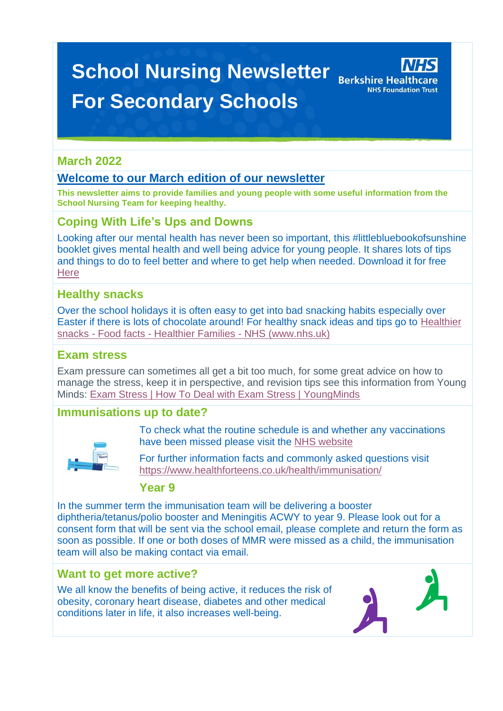# **School Nursing Newsletter** Berkshire Healthcare **For Secondary Schools**



## **March 2022**

## **Welcome to our March edition of our newsletter**

**This newsletter aims to provide families and young people with some useful information from the School Nursing Team for keeping healthy.**

## **Coping With Life's Ups and Downs**

Looking after our mental health has never been so important, this #littlebluebookofsunshine booklet gives mental health and well being advice for young people. It shares lots of tips and things to do to feel better and where to get help when needed. Download it for free **[Here](https://www.berkshirewestccg.nhs.uk/media/5349/lbbos-berkshire-edition-final.pdf)** 

## **Healthy snacks**

Over the school holidays it is often easy to get into bad snacking habits especially over Easter if there is lots of chocolate around! For healthy snack ideas and tips go to [Healthier](https://www.nhs.uk/healthier-families/food-facts/healthier-snacks/#snack-tips)  snacks - Food facts - [Healthier Families -](https://www.nhs.uk/healthier-families/food-facts/healthier-snacks/#snack-tips) NHS (www.nhs.uk)

## **Exam stress**

Exam pressure can sometimes all get a bit too much, for some great advice on how to manage the stress, keep it in perspective, and revision tips see this information from Young Minds: [Exam Stress | How To Deal with Exam Stress | YoungMinds](https://www.youngminds.org.uk/young-person/coping-with-life/exam-stress/)

## **Immunisations up to date?**



To check what the routine schedule is and whether any vaccinations have been missed please visit the [NHS website](https://www.nhs.uk/conditions/vaccinations/nhs-vaccinations-and-when-to-have-them/)

For further information facts and commonly asked questions visit <https://www.healthforteens.co.uk/health/immunisation/>

## **Year 9**

In the summer term the immunisation team will be delivering a booster diphtheria/tetanus/polio booster and Meningitis ACWY to year 9. Please look out for a consent form that will be sent via the school email, please complete and return the form as soon as possible. If one or both doses of MMR were missed as a child, the immunisation team will also be making contact via email.

## **Want to get more active?**

We all know the benefits of being active, it reduces the risk of obesity, coronary heart disease, diabetes and other medical conditions later in life, it also increases well-being.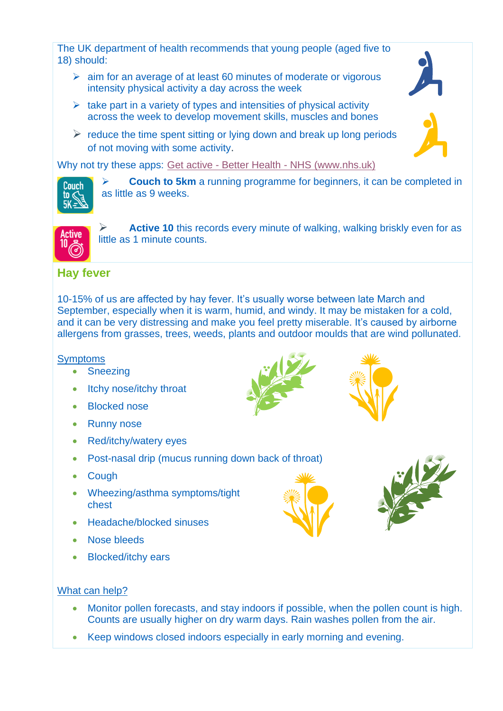The UK department of health recommends that young people (aged five to 18) should:

- $\geq$  aim for an average of at least 60 minutes of moderate or vigorous intensity physical activity a day across the week
- $\triangleright$  take part in a variety of types and intensities of physical activity across the week to develop movement skills, muscles and bones
- $\triangleright$  reduce the time spent sitting or lying down and break up long periods of not moving with some activity.

Why not try these apps: Get active - Better Health - [NHS \(www.nhs.uk\)](https://www.nhs.uk/better-health/get-active/?WT.mc_ID=SEARCH_ACTIVE&gclid=Cj0KCQjw3IqSBhCoARIsAMBkTb23J4gMlClVH69aMs1Ul3oy_wY9Y_ogTpXHicYGqK5UlZZfkF2ecdgaAlYIEALw_wcB&gclsrc=aw.ds)



**Couch to 5km** a running programme for beginners, it can be completed in as little as 9 weeks.



Active 10 this records every minute of walking, walking briskly even for as little as 1 minute counts.

## **Hay fever**

10-15% of us are affected by hay fever. It's usually worse between late March and September, especially when it is warm, humid, and windy. It may be mistaken for a cold, and it can be very distressing and make you feel pretty miserable. It's caused by airborne allergens from grasses, trees, weeds, plants and outdoor moulds that are wind pollunated.

#### **Symptoms**

- Sneezing
- Itchy nose/itchy throat
- **Blocked nose**
- **Runny nose**
- Red/itchy/watery eyes
- Post-nasal drip (mucus running down back of throat)
- **Cough**
- Wheezing/asthma symptoms/tight chest
- Headache/blocked sinuses
- Nose bleeds
- Blocked/itchy ears









#### What can help?

- Monitor pollen forecasts, and stay indoors if possible, when the pollen count is high. Counts are usually higher on dry warm days. Rain washes pollen from the air.
- Keep windows closed indoors especially in early morning and evening.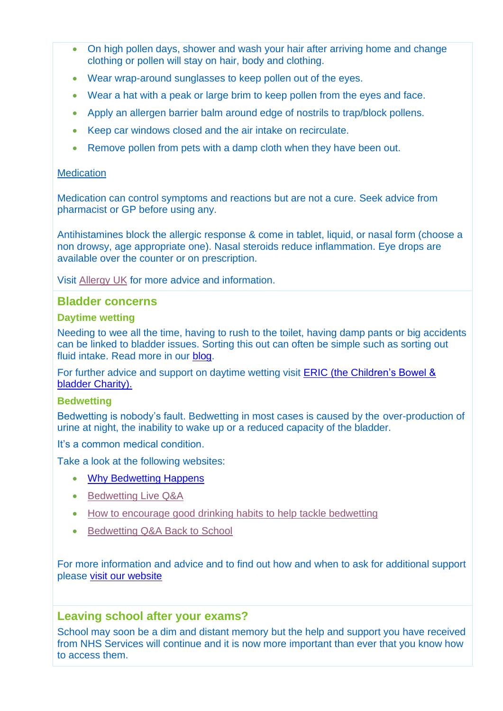- On high pollen days, shower and wash your hair after arriving home and change clothing or pollen will stay on hair, body and clothing.
- Wear wrap-around sunglasses to keep pollen out of the eyes.
- Wear a hat with a peak or large brim to keep pollen from the eyes and face.
- Apply an allergen barrier balm around edge of nostrils to trap/block pollens.
- Keep car windows closed and the air intake on recirculate.
- Remove pollen from pets with a damp cloth when they have been out.

#### **Medication**

Medication can control symptoms and reactions but are not a cure. Seek advice from pharmacist or GP before using any.

Antihistamines block the allergic response & come in tablet, liquid, or nasal form (choose a non drowsy, age appropriate one). Nasal steroids reduce inflammation. Eye drops are available over the counter or on prescription.

Visit [Allergy UK](https://www.allergyuk.org/types-of-allergies/hayfever/) for more advice and information.

#### **Bladder concerns**

#### **Daytime wetting**

Needing to wee all the time, having to rush to the toilet, having damp pants or big accidents can be linked to bladder issues. Sorting this out can often be simple such as sorting out fluid intake. Read more in our [blog.](https://cypf.berkshirehealthcare.nhs.uk/blog/posts/2022/march-2022/the-importance-of-hydration/)

For further advice and support on daytime wetting visit [ERIC \(the Children's Bowel &](https://www.eric.org.uk/Pages/Category/daytime-wetting)  [bladder Charity\).](https://www.eric.org.uk/Pages/Category/daytime-wetting)

#### **Bedwetting**

Bedwetting is nobody's fault. Bedwetting in most cases is caused by the over-production of urine at night, the inability to wake up or a reduced capacity of the bladder.

It's a common medical condition.

Take a look at the following websites:

- [Why Bedwetting Happens](https://youtu.be/INLCjfDJPPc)
- [Bedwetting Live Q&A](https://youtu.be/oGiUNSW-VJ4)
- [How to encourage good drinking habits to help tackle bedwetting](https://youtu.be/haOGI9pIC-s)
- [Bedwetting Q&A Back to School](https://youtu.be/9ehxQygpF0s)

For more information and advice and to find out how and when to ask for additional support please [visit our website](https://cypf.berkshirehealthcare.nhs.uk/health-and-development/toilet-training-and-bedwetting/bedwetting/)

## **Leaving school after your exams?**

School may soon be a dim and distant memory but the help and support you have received from NHS Services will continue and it is now more important than ever that you know how to access them.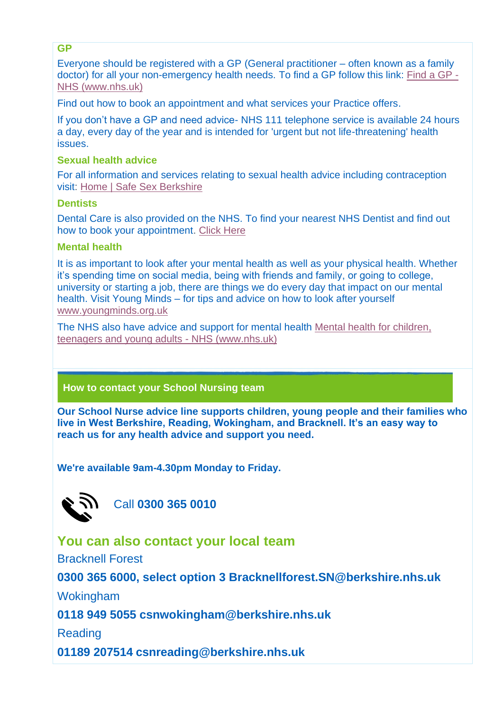**GP**

Everyone should be registered with a GP (General practitioner – often known as a family doctor) for all your non-emergency health needs. To find a GP follow this link: [Find a GP -](https://www.nhs.uk/service-search/find-a-gp) [NHS \(www.nhs.uk\)](https://www.nhs.uk/service-search/find-a-gp)

Find out how to book an appointment and what services your Practice offers.

If you don't have a GP and need advice- NHS 111 telephone service is available 24 hours a day, every day of the year and is intended for 'urgent but not life-threatening' health issues.

#### **Sexual health advice**

For all information and services relating to sexual health advice including contraception visit: [Home | Safe Sex Berkshire](https://www.safesexberkshire.nhs.uk/)

#### **Dentists**

Dental Care is also provided on the NHS. To find your nearest NHS Dentist and find out how to book your appointment. [Click Here](http://www.nhs.uk/Service-Search/Dentists/LocationSearch/3)

#### **Mental health**

It is as important to look after your mental health as well as your physical health. Whether it's spending time on social media, being with friends and family, or going to college, university or starting a job, there are things we do every day that impact on our mental health. Visit Young Minds – for tips and advice on how to look after yourself [www.youngminds.org.uk](http://www.youngminds.org.uk/)

The NHS also have advice and support for mental health [Mental health for children,](https://www.nhs.uk/mental-health/children-and-young-adults/)  [teenagers and young adults -](https://www.nhs.uk/mental-health/children-and-young-adults/) NHS (www.nhs.uk)

#### **How to contact your School Nursing team**

**Our School Nurse advice line supports children, young people and their families who live in West Berkshire, Reading, Wokingham, and Bracknell. It's an easy way to reach us for any health advice and support you need.**

**We're available 9am-4.30pm Monday to Friday.**



Call **0300 365 0010**

**You can also contact your local team**

Bracknell Forest

**0300 365 6000, select option 3 [Bracknellforest.SN@berkshire.nhs.uk](https://cypf.berkshirehealthcare.nhs.uk/Bracknellforest.SN@berkshire.nhs.uk)**

Wokingham

**0118 949 5055 [csnwokingham@berkshire.nhs.uk](mailto:csnwokingham@berkshire.nhs.uk)**

Reading

**01189 207514 [csnreading@berkshire.nhs.uk](mailto:csnreading@berkshire.nhs.uk)**